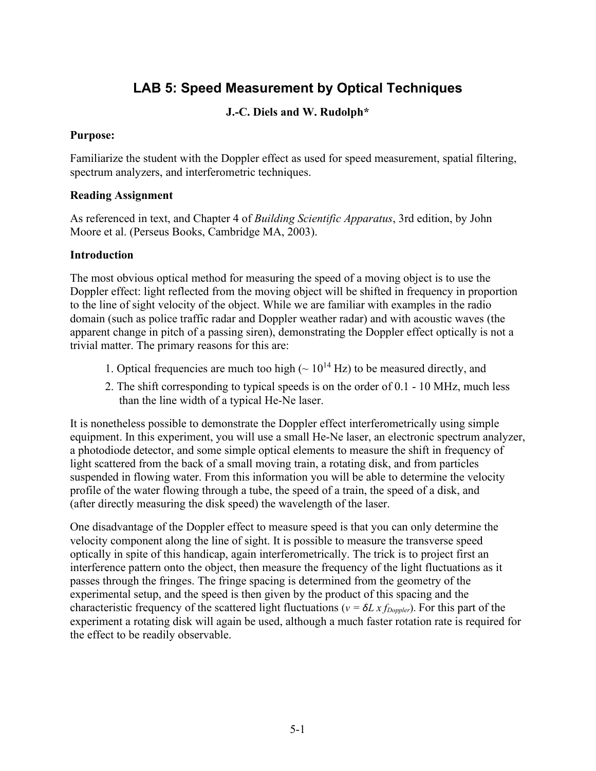# **LAB 5: Speed Measurement by Optical Techniques**

# **J.-C. Diels and W. Rudolph\***

## **Purpose:**

Familiarize the student with the Doppler effect as used for speed measurement, spatial filtering, spectrum analyzers, and interferometric techniques.

## **Reading Assignment**

As referenced in text, and Chapter 4 of *Building Scientific Apparatus*, 3rd edition, by John Moore et al. (Perseus Books, Cambridge MA, 2003).

# **Introduction**

The most obvious optical method for measuring the speed of a moving object is to use the Doppler effect: light reflected from the moving object will be shifted in frequency in proportion to the line of sight velocity of the object. While we are familiar with examples in the radio domain (such as police traffic radar and Doppler weather radar) and with acoustic waves (the apparent change in pitch of a passing siren), demonstrating the Doppler effect optically is not a trivial matter. The primary reasons for this are:

- 1. Optical frequencies are much too high  $({\sim 10^{14} \text{ Hz}})$  to be measured directly, and
- 2. The shift corresponding to typical speeds is on the order of 0.1 10 MHz, much less than the line width of a typical He-Ne laser.

It is nonetheless possible to demonstrate the Doppler effect interferometrically using simple equipment. In this experiment, you will use a small He-Ne laser, an electronic spectrum analyzer, a photodiode detector, and some simple optical elements to measure the shift in frequency of light scattered from the back of a small moving train, a rotating disk, and from particles suspended in flowing water. From this information you will be able to determine the velocity profile of the water flowing through a tube, the speed of a train, the speed of a disk, and (after directly measuring the disk speed) the wavelength of the laser.

One disadvantage of the Doppler effect to measure speed is that you can only determine the velocity component along the line of sight. It is possible to measure the transverse speed optically in spite of this handicap, again interferometrically. The trick is to project first an interference pattern onto the object, then measure the frequency of the light fluctuations as it passes through the fringes. The fringe spacing is determined from the geometry of the experimental setup, and the speed is then given by the product of this spacing and the characteristic frequency of the scattered light fluctuations ( $v = \delta L x f_{\text{Doppler}}$ ). For this part of the experiment a rotating disk will again be used, although a much faster rotation rate is required for the effect to be readily observable.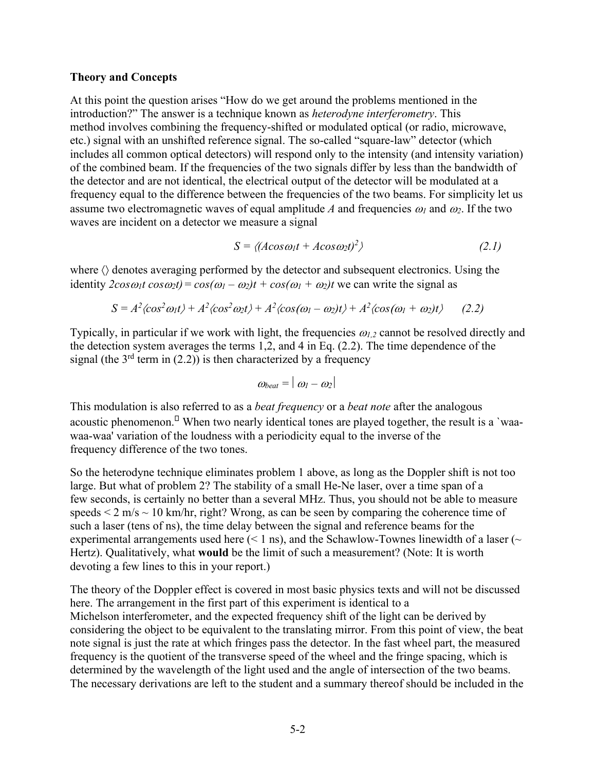#### **Theory and Concepts**

At this point the question arises "How do we get around the problems mentioned in the introduction?" The answer is a technique known as *heterodyne interferometry*. This method involves combining the frequency-shifted or modulated optical (or radio, microwave, etc.) signal with an unshifted reference signal. The so-called "square-law" detector (which includes all common optical detectors) will respond only to the intensity (and intensity variation) of the combined beam. If the frequencies of the two signals differ by less than the bandwidth of the detector and are not identical, the electrical output of the detector will be modulated at a frequency equal to the difference between the frequencies of the two beams. For simplicity let us assume two electromagnetic waves of equal amplitude *A* and frequencies  $\omega_l$  and  $\omega_2$ . If the two waves are incident on a detector we measure a signal

$$
S = \langle (A\cos\omega_1 t + A\cos\omega_2 t)^2 \rangle \tag{2.1}
$$

where  $\langle \rangle$  denotes averaging performed by the detector and subsequent electronics. Using the identity  $2\cos\omega_1t \cos\omega_2t$ ) =  $\cos(\omega_1 - \omega_2)t + \cos(\omega_1 + \omega_2)t$  we can write the signal as

$$
S = A2 \langle cos2omega1t \rangle + A2 \langle cos2omega2t \rangle + A2 \langle cos(\omega1 - \omega2)t \rangle + A2 \langle cos(\omega1 + \omega2)t \rangle
$$
 (2.2)

Typically, in particular if we work with light, the frequencies <sup>ω</sup>*1,2* cannot be resolved directly and the detection system averages the terms 1,2, and 4 in Eq. (2.2). The time dependence of the signal (the  $3<sup>rd</sup>$  term in (2.2)) is then characterized by a frequency

$$
\omega_{beat} = |\omega_l - \omega_2|
$$

This modulation is also referred to as a *beat frequency* or a *beat note* after the analogous acoustic phenomenon.<sup> $\Box$ </sup> When two nearly identical tones are played together, the result is a `waawaa-waa' variation of the loudness with a periodicity equal to the inverse of the frequency difference of the two tones.

So the heterodyne technique eliminates problem 1 above, as long as the Doppler shift is not too large. But what of problem 2? The stability of a small He-Ne laser, over a time span of a few seconds, is certainly no better than a several MHz. Thus, you should not be able to measure speeds  $\leq 2$  m/s  $\sim 10$  km/hr, right? Wrong, as can be seen by comparing the coherence time of such a laser (tens of ns), the time delay between the signal and reference beams for the experimental arrangements used here  $(< 1 \text{ ns}$ ), and the Schawlow-Townes linewidth of a laser  $($ Hertz). Qualitatively, what **would** be the limit of such a measurement? (Note: It is worth devoting a few lines to this in your report.)

The theory of the Doppler effect is covered in most basic physics texts and will not be discussed here. The arrangement in the first part of this experiment is identical to a Michelson interferometer, and the expected frequency shift of the light can be derived by considering the object to be equivalent to the translating mirror. From this point of view, the beat note signal is just the rate at which fringes pass the detector. In the fast wheel part, the measured frequency is the quotient of the transverse speed of the wheel and the fringe spacing, which is determined by the wavelength of the light used and the angle of intersection of the two beams. The necessary derivations are left to the student and a summary thereof should be included in the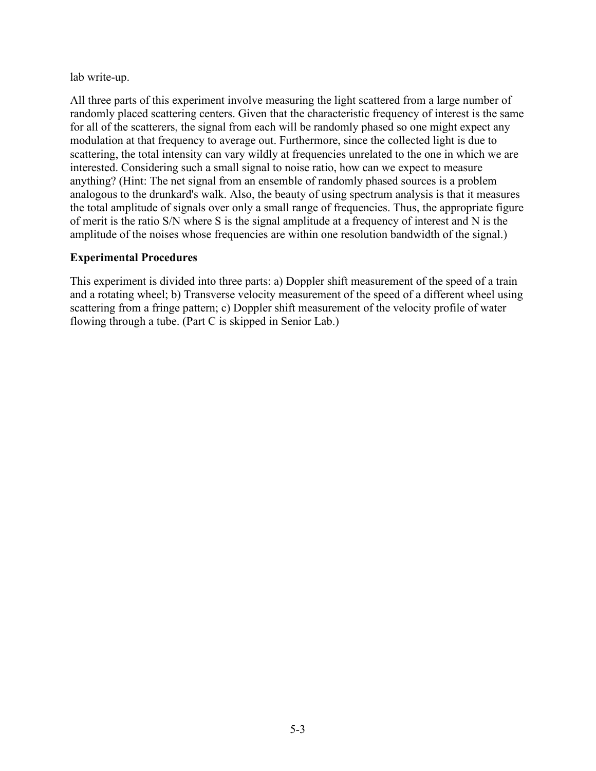lab write-up.

All three parts of this experiment involve measuring the light scattered from a large number of randomly placed scattering centers. Given that the characteristic frequency of interest is the same for all of the scatterers, the signal from each will be randomly phased so one might expect any modulation at that frequency to average out. Furthermore, since the collected light is due to scattering, the total intensity can vary wildly at frequencies unrelated to the one in which we are interested. Considering such a small signal to noise ratio, how can we expect to measure anything? (Hint: The net signal from an ensemble of randomly phased sources is a problem analogous to the drunkard's walk. Also, the beauty of using spectrum analysis is that it measures the total amplitude of signals over only a small range of frequencies. Thus, the appropriate figure of merit is the ratio S/N where S is the signal amplitude at a frequency of interest and N is the amplitude of the noises whose frequencies are within one resolution bandwidth of the signal.)

#### **Experimental Procedures**

This experiment is divided into three parts: a) Doppler shift measurement of the speed of a train and a rotating wheel; b) Transverse velocity measurement of the speed of a different wheel using scattering from a fringe pattern; c) Doppler shift measurement of the velocity profile of water flowing through a tube. (Part C is skipped in Senior Lab.)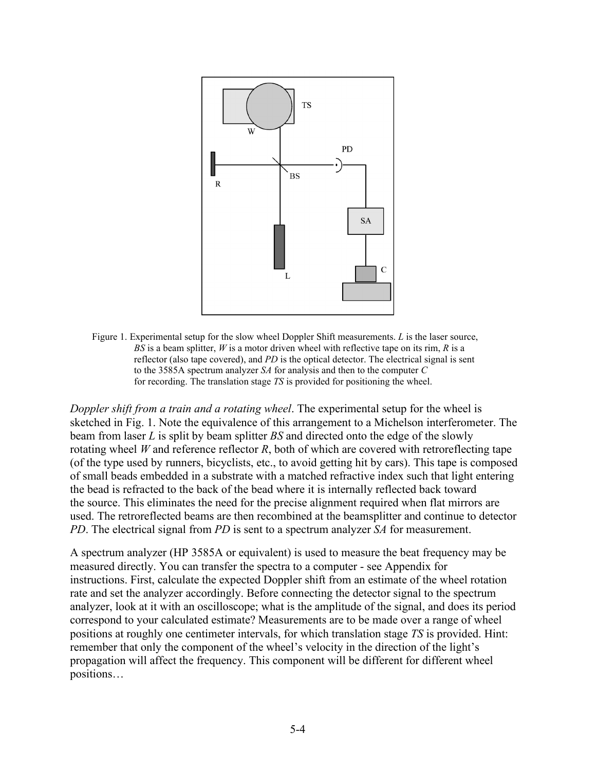

Figure 1. Experimental setup for the slow wheel Doppler Shift measurements. *L* is the laser source, *BS* is a beam splitter, *W* is a motor driven wheel with reflective tape on its rim, *R* is a reflector (also tape covered), and *PD* is the optical detector. The electrical signal is sent to the 3585A spectrum analyzer *SA* for analysis and then to the computer *C* for recording. The translation stage *TS* is provided for positioning the wheel.

*Doppler shift from a train and a rotating wheel*. The experimental setup for the wheel is sketched in Fig. 1. Note the equivalence of this arrangement to a Michelson interferometer. The beam from laser *L* is split by beam splitter *BS* and directed onto the edge of the slowly rotating wheel *W* and reference reflector *R*, both of which are covered with retroreflecting tape (of the type used by runners, bicyclists, etc., to avoid getting hit by cars). This tape is composed of small beads embedded in a substrate with a matched refractive index such that light entering the bead is refracted to the back of the bead where it is internally reflected back toward the source. This eliminates the need for the precise alignment required when flat mirrors are used. The retroreflected beams are then recombined at the beamsplitter and continue to detector *PD*. The electrical signal from *PD* is sent to a spectrum analyzer *SA* for measurement.

A spectrum analyzer (HP 3585A or equivalent) is used to measure the beat frequency may be measured directly. You can transfer the spectra to a computer - see Appendix for instructions. First, calculate the expected Doppler shift from an estimate of the wheel rotation rate and set the analyzer accordingly. Before connecting the detector signal to the spectrum analyzer, look at it with an oscilloscope; what is the amplitude of the signal, and does its period correspond to your calculated estimate? Measurements are to be made over a range of wheel positions at roughly one centimeter intervals, for which translation stage *TS* is provided. Hint: remember that only the component of the wheel's velocity in the direction of the light's propagation will affect the frequency. This component will be different for different wheel positions…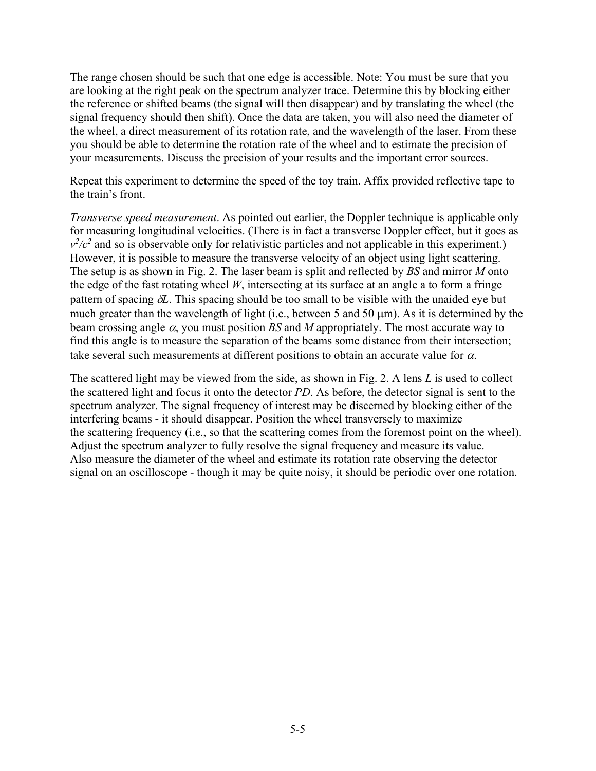The range chosen should be such that one edge is accessible. Note: You must be sure that you are looking at the right peak on the spectrum analyzer trace. Determine this by blocking either the reference or shifted beams (the signal will then disappear) and by translating the wheel (the signal frequency should then shift). Once the data are taken, you will also need the diameter of the wheel, a direct measurement of its rotation rate, and the wavelength of the laser. From these you should be able to determine the rotation rate of the wheel and to estimate the precision of your measurements. Discuss the precision of your results and the important error sources.

Repeat this experiment to determine the speed of the toy train. Affix provided reflective tape to the train's front.

*Transverse speed measurement*. As pointed out earlier, the Doppler technique is applicable only for measuring longitudinal velocities. (There is in fact a transverse Doppler effect, but it goes as  $v^2/c^2$  and so is observable only for relativistic particles and not applicable in this experiment.) However, it is possible to measure the transverse velocity of an object using light scattering. The setup is as shown in Fig. 2. The laser beam is split and reflected by *BS* and mirror *M* onto the edge of the fast rotating wheel *W*, intersecting at its surface at an angle a to form a fringe pattern of spacing δ*L*. This spacing should be too small to be visible with the unaided eye but much greater than the wavelength of light (i.e., between 5 and 50  $\mu$ m). As it is determined by the beam crossing angle α, you must position *BS* and *M* appropriately. The most accurate way to find this angle is to measure the separation of the beams some distance from their intersection; take several such measurements at different positions to obtain an accurate value for  $\alpha$ .

The scattered light may be viewed from the side, as shown in Fig. 2. A lens *L* is used to collect the scattered light and focus it onto the detector *PD*. As before, the detector signal is sent to the spectrum analyzer. The signal frequency of interest may be discerned by blocking either of the interfering beams - it should disappear. Position the wheel transversely to maximize the scattering frequency (i.e., so that the scattering comes from the foremost point on the wheel). Adjust the spectrum analyzer to fully resolve the signal frequency and measure its value. Also measure the diameter of the wheel and estimate its rotation rate observing the detector signal on an oscilloscope - though it may be quite noisy, it should be periodic over one rotation.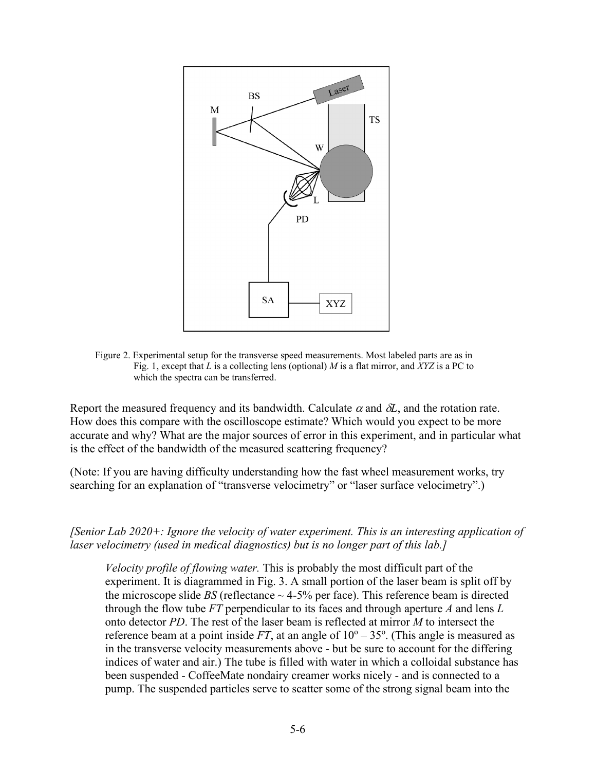

Figure 2. Experimental setup for the transverse speed measurements. Most labeled parts are as in Fig. 1, except that *L* is a collecting lens (optional) *M* is a flat mirror, and *XYZ* is a PC to which the spectra can be transferred.

Report the measured frequency and its bandwidth. Calculate  $\alpha$  and  $\delta L$ , and the rotation rate. How does this compare with the oscilloscope estimate? Which would you expect to be more accurate and why? What are the major sources of error in this experiment, and in particular what is the effect of the bandwidth of the measured scattering frequency?

(Note: If you are having difficulty understanding how the fast wheel measurement works, try searching for an explanation of "transverse velocimetry" or "laser surface velocimetry".)

*[Senior Lab 2020+: Ignore the velocity of water experiment. This is an interesting application of laser velocimetry (used in medical diagnostics) but is no longer part of this lab.]*

*Velocity profile of flowing water.* This is probably the most difficult part of the experiment. It is diagrammed in Fig. 3. A small portion of the laser beam is split off by the microscope slide *BS* (reflectance  $\sim$  4-5% per face). This reference beam is directed through the flow tube *FT* perpendicular to its faces and through aperture *A* and lens *L* onto detector *PD*. The rest of the laser beam is reflected at mirror *M* to intersect the reference beam at a point inside  $FT$ , at an angle of  $10^{\circ} - 35^{\circ}$ . (This angle is measured as in the transverse velocity measurements above - but be sure to account for the differing indices of water and air.) The tube is filled with water in which a colloidal substance has been suspended - CoffeeMate nondairy creamer works nicely - and is connected to a pump. The suspended particles serve to scatter some of the strong signal beam into the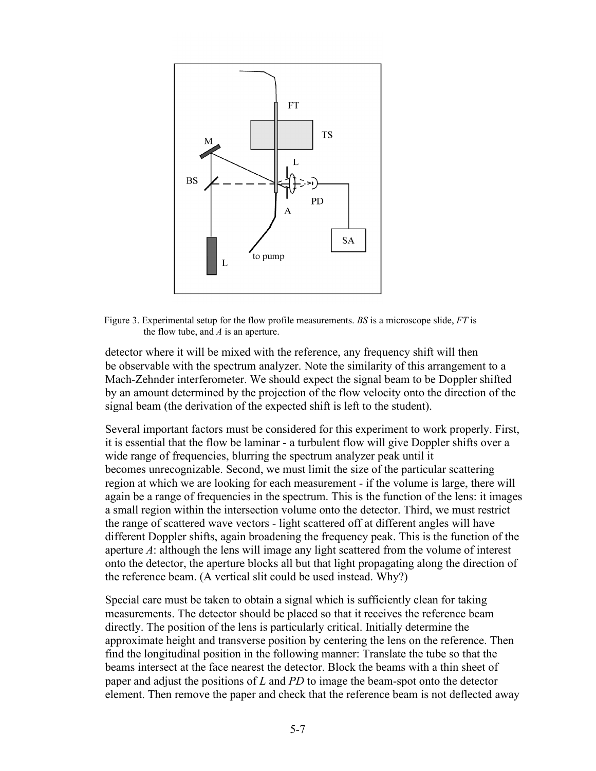

Figure 3. Experimental setup for the flow profile measurements. *BS* is a microscope slide, *FT* is the flow tube, and *A* is an aperture.

detector where it will be mixed with the reference, any frequency shift will then be observable with the spectrum analyzer. Note the similarity of this arrangement to a Mach-Zehnder interferometer. We should expect the signal beam to be Doppler shifted by an amount determined by the projection of the flow velocity onto the direction of the signal beam (the derivation of the expected shift is left to the student).

Several important factors must be considered for this experiment to work properly. First, it is essential that the flow be laminar - a turbulent flow will give Doppler shifts over a wide range of frequencies, blurring the spectrum analyzer peak until it becomes unrecognizable. Second, we must limit the size of the particular scattering region at which we are looking for each measurement - if the volume is large, there will again be a range of frequencies in the spectrum. This is the function of the lens: it images a small region within the intersection volume onto the detector. Third, we must restrict the range of scattered wave vectors - light scattered off at different angles will have different Doppler shifts, again broadening the frequency peak. This is the function of the aperture *A*: although the lens will image any light scattered from the volume of interest onto the detector, the aperture blocks all but that light propagating along the direction of the reference beam. (A vertical slit could be used instead. Why?)

Special care must be taken to obtain a signal which is sufficiently clean for taking measurements. The detector should be placed so that it receives the reference beam directly. The position of the lens is particularly critical. Initially determine the approximate height and transverse position by centering the lens on the reference. Then find the longitudinal position in the following manner: Translate the tube so that the beams intersect at the face nearest the detector. Block the beams with a thin sheet of paper and adjust the positions of *L* and *PD* to image the beam-spot onto the detector element. Then remove the paper and check that the reference beam is not deflected away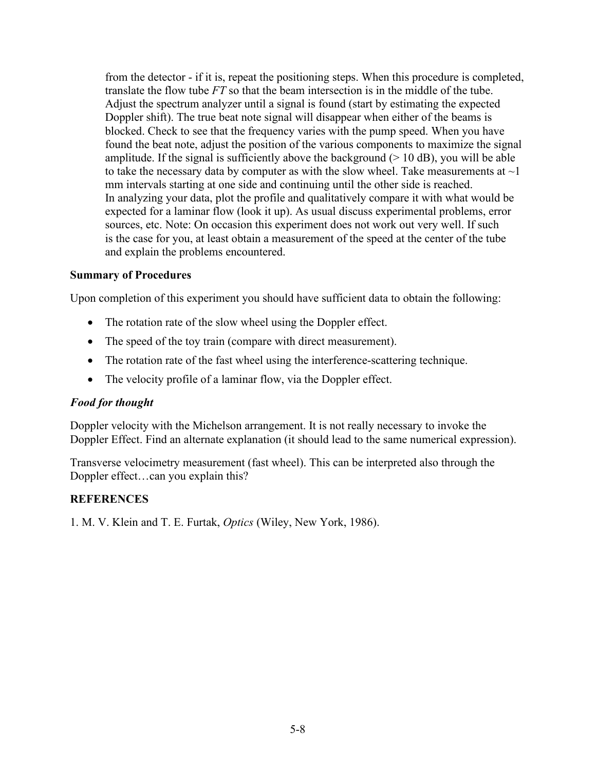from the detector - if it is, repeat the positioning steps. When this procedure is completed, translate the flow tube *FT* so that the beam intersection is in the middle of the tube. Adjust the spectrum analyzer until a signal is found (start by estimating the expected Doppler shift). The true beat note signal will disappear when either of the beams is blocked. Check to see that the frequency varies with the pump speed. When you have found the beat note, adjust the position of the various components to maximize the signal amplitude. If the signal is sufficiently above the background  $(> 10 \text{ dB})$ , you will be able to take the necessary data by computer as with the slow wheel. Take measurements at  $\sim$ 1 mm intervals starting at one side and continuing until the other side is reached. In analyzing your data, plot the profile and qualitatively compare it with what would be expected for a laminar flow (look it up). As usual discuss experimental problems, error sources, etc. Note: On occasion this experiment does not work out very well. If such is the case for you, at least obtain a measurement of the speed at the center of the tube and explain the problems encountered.

#### **Summary of Procedures**

Upon completion of this experiment you should have sufficient data to obtain the following:

- The rotation rate of the slow wheel using the Doppler effect.
- The speed of the toy train (compare with direct measurement).
- The rotation rate of the fast wheel using the interference-scattering technique.
- The velocity profile of a laminar flow, via the Doppler effect.

## *Food for thought*

Doppler velocity with the Michelson arrangement. It is not really necessary to invoke the Doppler Effect. Find an alternate explanation (it should lead to the same numerical expression).

Transverse velocimetry measurement (fast wheel). This can be interpreted also through the Doppler effect…can you explain this?

## **REFERENCES**

1. M. V. Klein and T. E. Furtak, *Optics* (Wiley, New York, 1986).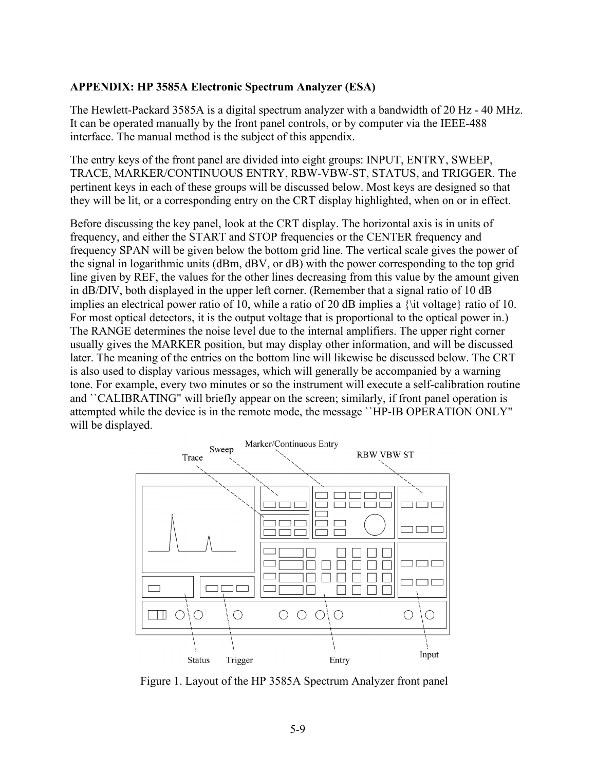#### **APPENDIX: HP 3585A Electronic Spectrum Analyzer (ESA)**

The Hewlett-Packard 3585A is a digital spectrum analyzer with a bandwidth of 20 Hz - 40 MHz. It can be operated manually by the front panel controls, or by computer via the IEEE-488 interface. The manual method is the subject of this appendix.

The entry keys of the front panel are divided into eight groups: INPUT, ENTRY, SWEEP, TRACE, MARKER/CONTINUOUS ENTRY, RBW-VBW-ST, STATUS, and TRIGGER. The pertinent keys in each of these groups will be discussed below. Most keys are designed so that they will be lit, or a corresponding entry on the CRT display highlighted, when on or in effect.

Before discussing the key panel, look at the CRT display. The horizontal axis is in units of frequency, and either the START and STOP frequencies or the CENTER frequency and frequency SPAN will be given below the bottom grid line. The vertical scale gives the power of the signal in logarithmic units (dBm, dBV, or dB) with the power corresponding to the top grid line given by REF, the values for the other lines decreasing from this value by the amount given in dB/DIV, both displayed in the upper left corner. (Remember that a signal ratio of 10 dB implies an electrical power ratio of 10, while a ratio of 20 dB implies a  $\{\text{it voltage}\}\$ ratio of 10. For most optical detectors, it is the output voltage that is proportional to the optical power in.) The RANGE determines the noise level due to the internal amplifiers. The upper right corner usually gives the MARKER position, but may display other information, and will be discussed later. The meaning of the entries on the bottom line will likewise be discussed below. The CRT is also used to display various messages, which will generally be accompanied by a warning tone. For example, every two minutes or so the instrument will execute a self-calibration routine and ``CALIBRATING" will briefly appear on the screen; similarly, if front panel operation is attempted while the device is in the remote mode, the message ``HP-IB OPERATION ONLY" will be displayed.



Figure 1. Layout of the HP 3585A Spectrum Analyzer front panel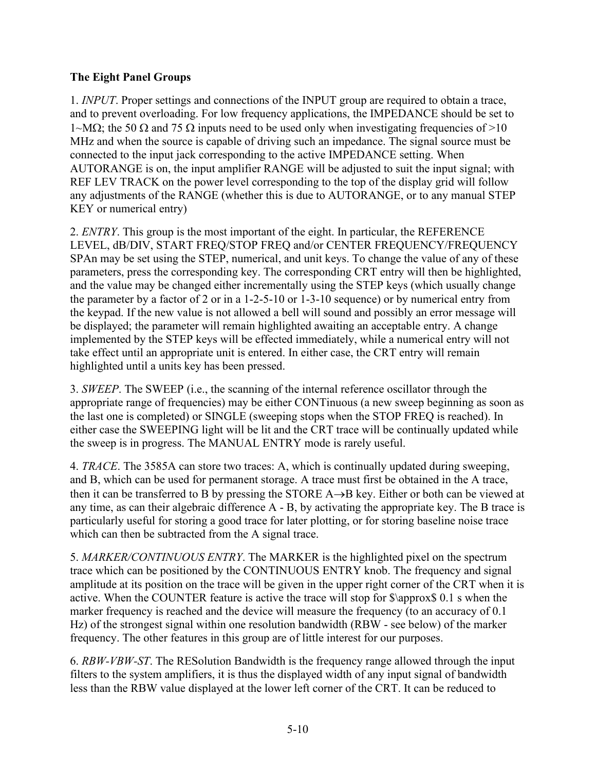# **The Eight Panel Groups**

1. *INPUT*. Proper settings and connections of the INPUT group are required to obtain a trace, and to prevent overloading. For low frequency applications, the IMPEDANCE should be set to  $1-MΩ$ ; the 50 Ω and 75 Ω inputs need to be used only when investigating frequencies of >10 MHz and when the source is capable of driving such an impedance. The signal source must be connected to the input jack corresponding to the active IMPEDANCE setting. When AUTORANGE is on, the input amplifier RANGE will be adjusted to suit the input signal; with REF LEV TRACK on the power level corresponding to the top of the display grid will follow any adjustments of the RANGE (whether this is due to AUTORANGE, or to any manual STEP KEY or numerical entry)

2. *ENTRY*. This group is the most important of the eight. In particular, the REFERENCE LEVEL, dB/DIV, START FREQ/STOP FREQ and/or CENTER FREQUENCY/FREQUENCY SPAn may be set using the STEP, numerical, and unit keys. To change the value of any of these parameters, press the corresponding key. The corresponding CRT entry will then be highlighted, and the value may be changed either incrementally using the STEP keys (which usually change the parameter by a factor of 2 or in a 1-2-5-10 or 1-3-10 sequence) or by numerical entry from the keypad. If the new value is not allowed a bell will sound and possibly an error message will be displayed; the parameter will remain highlighted awaiting an acceptable entry. A change implemented by the STEP keys will be effected immediately, while a numerical entry will not take effect until an appropriate unit is entered. In either case, the CRT entry will remain highlighted until a units key has been pressed.

3. *SWEEP*. The SWEEP (i.e., the scanning of the internal reference oscillator through the appropriate range of frequencies) may be either CONTinuous (a new sweep beginning as soon as the last one is completed) or SINGLE (sweeping stops when the STOP FREQ is reached). In either case the SWEEPING light will be lit and the CRT trace will be continually updated while the sweep is in progress. The MANUAL ENTRY mode is rarely useful.

4. *TRACE*. The 3585A can store two traces: A, which is continually updated during sweeping, and B, which can be used for permanent storage. A trace must first be obtained in the A trace, then it can be transferred to B by pressing the STORE A→B key. Either or both can be viewed at any time, as can their algebraic difference A - B, by activating the appropriate key. The B trace is particularly useful for storing a good trace for later plotting, or for storing baseline noise trace which can then be subtracted from the A signal trace.

5. *MARKER/CONTINUOUS ENTRY*. The MARKER is the highlighted pixel on the spectrum trace which can be positioned by the CONTINUOUS ENTRY knob. The frequency and signal amplitude at its position on the trace will be given in the upper right corner of the CRT when it is active. When the COUNTER feature is active the trace will stop for \$\approx\$ 0.1 s when the marker frequency is reached and the device will measure the frequency (to an accuracy of 0.1 Hz) of the strongest signal within one resolution bandwidth (RBW - see below) of the marker frequency. The other features in this group are of little interest for our purposes.

6. *RBW-VBW-ST*. The RESolution Bandwidth is the frequency range allowed through the input filters to the system amplifiers, it is thus the displayed width of any input signal of bandwidth less than the RBW value displayed at the lower left corner of the CRT. It can be reduced to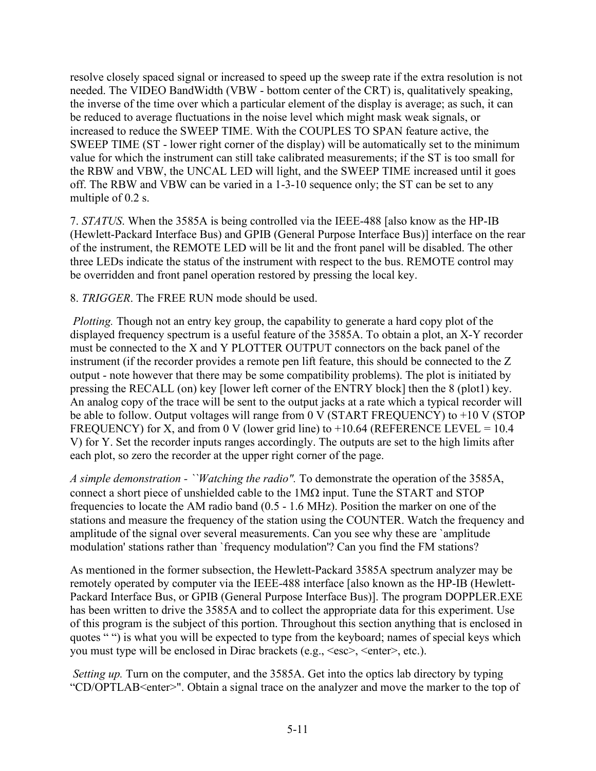resolve closely spaced signal or increased to speed up the sweep rate if the extra resolution is not needed. The VIDEO BandWidth (VBW - bottom center of the CRT) is, qualitatively speaking, the inverse of the time over which a particular element of the display is average; as such, it can be reduced to average fluctuations in the noise level which might mask weak signals, or increased to reduce the SWEEP TIME. With the COUPLES TO SPAN feature active, the SWEEP TIME (ST - lower right corner of the display) will be automatically set to the minimum value for which the instrument can still take calibrated measurements; if the ST is too small for the RBW and VBW, the UNCAL LED will light, and the SWEEP TIME increased until it goes off. The RBW and VBW can be varied in a 1-3-10 sequence only; the ST can be set to any multiple of 0.2 s.

7. *STATUS*. When the 3585A is being controlled via the IEEE-488 [also know as the HP-IB (Hewlett-Packard Interface Bus) and GPIB (General Purpose Interface Bus)] interface on the rear of the instrument, the REMOTE LED will be lit and the front panel will be disabled. The other three LEDs indicate the status of the instrument with respect to the bus. REMOTE control may be overridden and front panel operation restored by pressing the local key.

8. *TRIGGER*. The FREE RUN mode should be used.

*Plotting.* Though not an entry key group, the capability to generate a hard copy plot of the displayed frequency spectrum is a useful feature of the 3585A. To obtain a plot, an X-Y recorder must be connected to the X and Y PLOTTER OUTPUT connectors on the back panel of the instrument (if the recorder provides a remote pen lift feature, this should be connected to the Z output - note however that there may be some compatibility problems). The plot is initiated by pressing the RECALL (on) key [lower left corner of the ENTRY block] then the 8 (plot1) key. An analog copy of the trace will be sent to the output jacks at a rate which a typical recorder will be able to follow. Output voltages will range from 0 V (START FREQUENCY) to +10 V (STOP FREQUENCY) for X, and from 0 V (lower grid line) to  $+10.64$  (REFERENCE LEVEL = 10.4 V) for Y. Set the recorder inputs ranges accordingly. The outputs are set to the high limits after each plot, so zero the recorder at the upper right corner of the page.

*A simple demonstration - ``Watching the radio".* To demonstrate the operation of the 3585A, connect a short piece of unshielded cable to the 1MΩ input. Tune the START and STOP frequencies to locate the AM radio band (0.5 - 1.6 MHz). Position the marker on one of the stations and measure the frequency of the station using the COUNTER. Watch the frequency and amplitude of the signal over several measurements. Can you see why these are `amplitude modulation' stations rather than `frequency modulation'? Can you find the FM stations?

As mentioned in the former subsection, the Hewlett-Packard 3585A spectrum analyzer may be remotely operated by computer via the IEEE-488 interface [also known as the HP-IB (Hewlett-Packard Interface Bus, or GPIB (General Purpose Interface Bus)]. The program DOPPLER.EXE has been written to drive the 3585A and to collect the appropriate data for this experiment. Use of this program is the subject of this portion. Throughout this section anything that is enclosed in quotes "") is what you will be expected to type from the keyboard; names of special keys which you must type will be enclosed in Dirac brackets (e.g.,  $\langle \text{esc}\rangle$ ,  $\langle \text{enter}\rangle$ , etc.).

*Setting up.* Turn on the computer, and the 3585A. Get into the optics lab directory by typing "CD/OPTLAB<enter>". Obtain a signal trace on the analyzer and move the marker to the top of